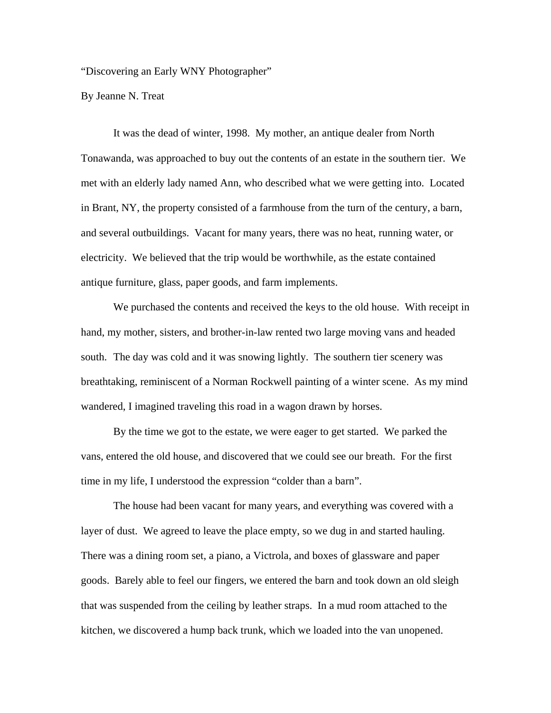"Discovering an Early WNY Photographer"

By Jeanne N. Treat

It was the dead of winter, 1998. My mother, an antique dealer from North Tonawanda, was approached to buy out the contents of an estate in the southern tier. We met with an elderly lady named Ann, who described what we were getting into. Located in Brant, NY, the property consisted of a farmhouse from the turn of the century, a barn, and several outbuildings. Vacant for many years, there was no heat, running water, or electricity. We believed that the trip would be worthwhile, as the estate contained antique furniture, glass, paper goods, and farm implements.

We purchased the contents and received the keys to the old house. With receipt in hand, my mother, sisters, and brother-in-law rented two large moving vans and headed south. The day was cold and it was snowing lightly. The southern tier scenery was breathtaking, reminiscent of a Norman Rockwell painting of a winter scene. As my mind wandered, I imagined traveling this road in a wagon drawn by horses.

By the time we got to the estate, we were eager to get started. We parked the vans, entered the old house, and discovered that we could see our breath. For the first time in my life, I understood the expression "colder than a barn".

The house had been vacant for many years, and everything was covered with a layer of dust. We agreed to leave the place empty, so we dug in and started hauling. There was a dining room set, a piano, a Victrola, and boxes of glassware and paper goods. Barely able to feel our fingers, we entered the barn and took down an old sleigh that was suspended from the ceiling by leather straps. In a mud room attached to the kitchen, we discovered a hump back trunk, which we loaded into the van unopened.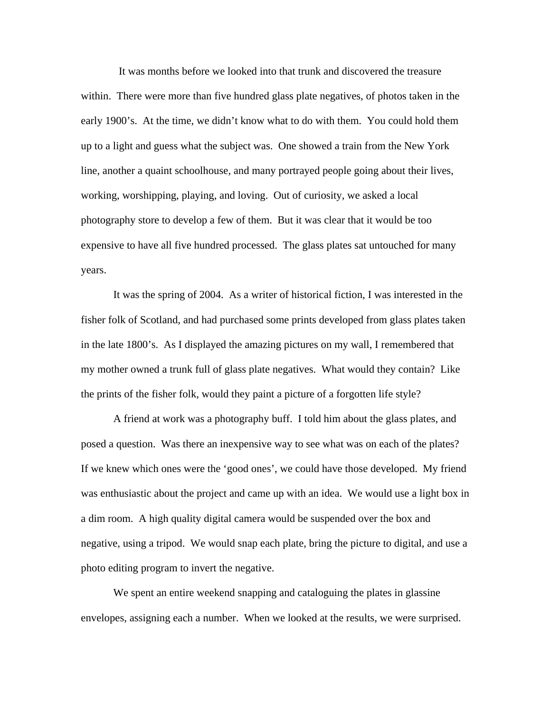It was months before we looked into that trunk and discovered the treasure within. There were more than five hundred glass plate negatives, of photos taken in the early 1900's. At the time, we didn't know what to do with them. You could hold them up to a light and guess what the subject was. One showed a train from the New York line, another a quaint schoolhouse, and many portrayed people going about their lives, working, worshipping, playing, and loving. Out of curiosity, we asked a local photography store to develop a few of them. But it was clear that it would be too expensive to have all five hundred processed. The glass plates sat untouched for many years.

It was the spring of 2004. As a writer of historical fiction, I was interested in the fisher folk of Scotland, and had purchased some prints developed from glass plates taken in the late 1800's. As I displayed the amazing pictures on my wall, I remembered that my mother owned a trunk full of glass plate negatives. What would they contain? Like the prints of the fisher folk, would they paint a picture of a forgotten life style?

A friend at work was a photography buff. I told him about the glass plates, and posed a question. Was there an inexpensive way to see what was on each of the plates? If we knew which ones were the 'good ones', we could have those developed. My friend was enthusiastic about the project and came up with an idea. We would use a light box in a dim room. A high quality digital camera would be suspended over the box and negative, using a tripod. We would snap each plate, bring the picture to digital, and use a photo editing program to invert the negative.

We spent an entire weekend snapping and cataloguing the plates in glassine envelopes, assigning each a number. When we looked at the results, we were surprised.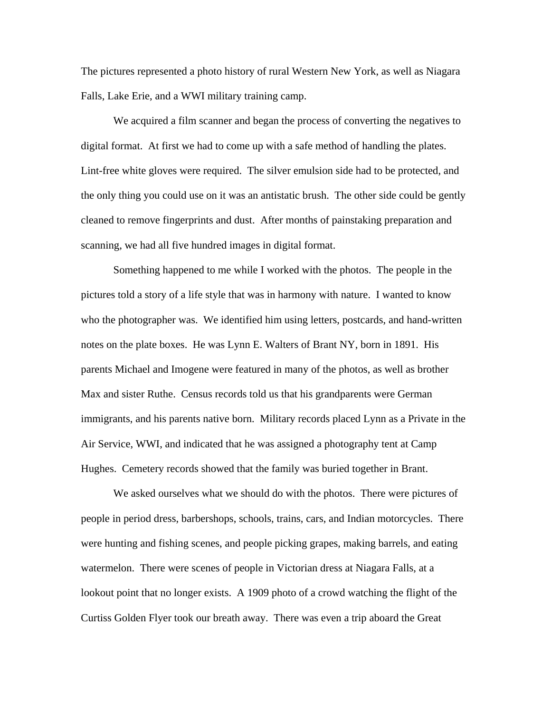The pictures represented a photo history of rural Western New York, as well as Niagara Falls, Lake Erie, and a WWI military training camp.

We acquired a film scanner and began the process of converting the negatives to digital format. At first we had to come up with a safe method of handling the plates. Lint-free white gloves were required. The silver emulsion side had to be protected, and the only thing you could use on it was an antistatic brush. The other side could be gently cleaned to remove fingerprints and dust. After months of painstaking preparation and scanning, we had all five hundred images in digital format.

Something happened to me while I worked with the photos. The people in the pictures told a story of a life style that was in harmony with nature. I wanted to know who the photographer was. We identified him using letters, postcards, and hand-written notes on the plate boxes. He was Lynn E. Walters of Brant NY, born in 1891. His parents Michael and Imogene were featured in many of the photos, as well as brother Max and sister Ruthe. Census records told us that his grandparents were German immigrants, and his parents native born. Military records placed Lynn as a Private in the Air Service, WWI, and indicated that he was assigned a photography tent at Camp Hughes. Cemetery records showed that the family was buried together in Brant.

We asked ourselves what we should do with the photos. There were pictures of people in period dress, barbershops, schools, trains, cars, and Indian motorcycles. There were hunting and fishing scenes, and people picking grapes, making barrels, and eating watermelon. There were scenes of people in Victorian dress at Niagara Falls, at a lookout point that no longer exists. A 1909 photo of a crowd watching the flight of the Curtiss Golden Flyer took our breath away. There was even a trip aboard the Great